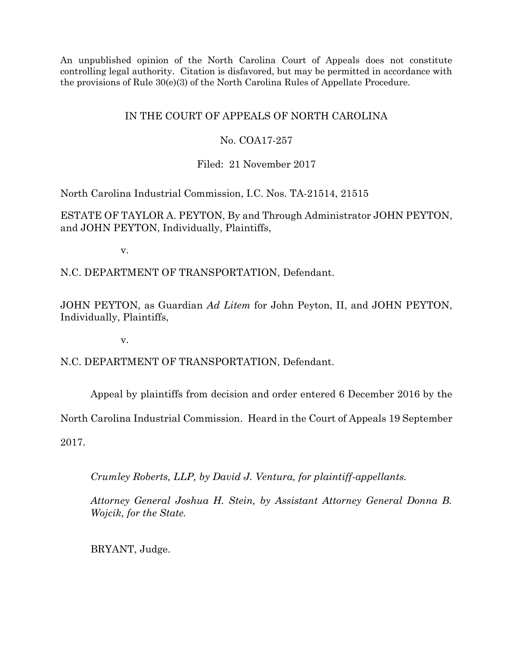An unpublished opinion of the North Carolina Court of Appeals does not constitute controlling legal authority. Citation is disfavored, but may be permitted in accordance with the provisions of Rule 30(e)(3) of the North Carolina Rules of Appellate Procedure.

# IN THE COURT OF APPEALS OF NORTH CAROLINA

## No. COA17-257

Filed: 21 November 2017

North Carolina Industrial Commission, I.C. Nos. TA-21514, 21515

ESTATE OF TAYLOR A. PEYTON, By and Through Administrator JOHN PEYTON, and JOHN PEYTON, Individually, Plaintiffs,

v.

N.C. DEPARTMENT OF TRANSPORTATION, Defendant.

JOHN PEYTON, as Guardian *Ad Litem* for John Peyton, II, and JOHN PEYTON, Individually, Plaintiffs,

v.

N.C. DEPARTMENT OF TRANSPORTATION, Defendant.

Appeal by plaintiffs from decision and order entered 6 December 2016 by the

North Carolina Industrial Commission. Heard in the Court of Appeals 19 September

2017.

*Crumley Roberts, LLP, by David J. Ventura, for plaintiff-appellants.*

*Attorney General Joshua H. Stein, by Assistant Attorney General Donna B. Wojcik, for the State.*

BRYANT, Judge.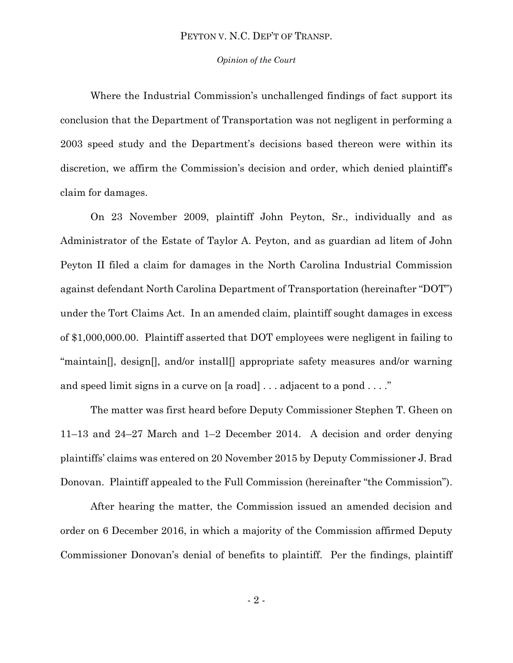#### *Opinion of the Court*

Where the Industrial Commission's unchallenged findings of fact support its conclusion that the Department of Transportation was not negligent in performing a 2003 speed study and the Department's decisions based thereon were within its discretion, we affirm the Commission's decision and order, which denied plaintiff's claim for damages.

On 23 November 2009, plaintiff John Peyton, Sr., individually and as Administrator of the Estate of Taylor A. Peyton, and as guardian ad litem of John Peyton II filed a claim for damages in the North Carolina Industrial Commission against defendant North Carolina Department of Transportation (hereinafter "DOT") under the Tort Claims Act. In an amended claim, plaintiff sought damages in excess of \$1,000,000.00. Plaintiff asserted that DOT employees were negligent in failing to "maintain. design, and/or install, appropriate safety measures and/or warning and speed limit signs in a curve on [a road] . . . adjacent to a pond . . . ."

The matter was first heard before Deputy Commissioner Stephen T. Gheen on 11–13 and 24–27 March and 1–2 December 2014. A decision and order denying plaintiffs' claims was entered on 20 November 2015 by Deputy Commissioner J. Brad Donovan. Plaintiff appealed to the Full Commission (hereinafter "the Commission").

After hearing the matter, the Commission issued an amended decision and order on 6 December 2016, in which a majority of the Commission affirmed Deputy Commissioner Donovan's denial of benefits to plaintiff. Per the findings, plaintiff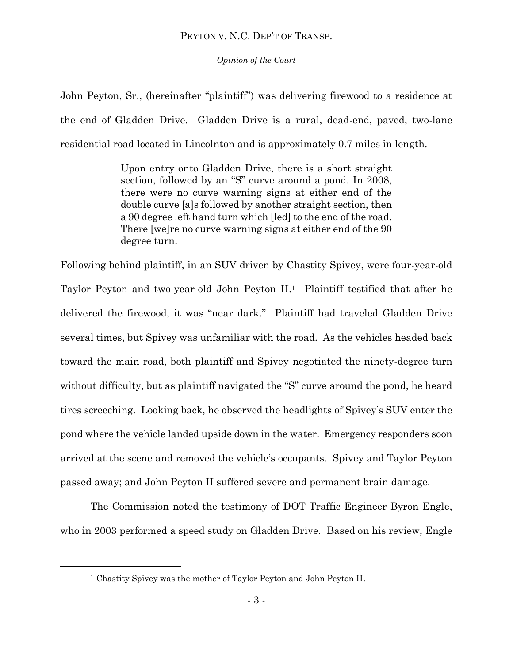*Opinion of the Court*

John Peyton, Sr., (hereinafter "plaintiff") was delivering firewood to a residence at the end of Gladden Drive. Gladden Drive is a rural, dead-end, paved, two-lane residential road located in Lincolnton and is approximately 0.7 miles in length.

> Upon entry onto Gladden Drive, there is a short straight section, followed by an "S" curve around a pond. In 2008, there were no curve warning signs at either end of the double curve [a]s followed by another straight section, then a 90 degree left hand turn which [led] to the end of the road. There [we]re no curve warning signs at either end of the 90 degree turn.

Following behind plaintiff, in an SUV driven by Chastity Spivey, were four-year-old Taylor Peyton and two-year-old John Peyton II.1 Plaintiff testified that after he delivered the firewood, it was "near dark." Plaintiff had traveled Gladden Drive several times, but Spivey was unfamiliar with the road. As the vehicles headed back toward the main road, both plaintiff and Spivey negotiated the ninety-degree turn without difficulty, but as plaintiff navigated the "S" curve around the pond, he heard tires screeching. Looking back, he observed the headlights of Spivey's SUV enter the pond where the vehicle landed upside down in the water. Emergency responders soon arrived at the scene and removed the vehicle's occupants. Spivey and Taylor Peyton passed away; and John Peyton II suffered severe and permanent brain damage.

The Commission noted the testimony of DOT Traffic Engineer Byron Engle, who in 2003 performed a speed study on Gladden Drive. Based on his review, Engle

l

<sup>&</sup>lt;sup>1</sup> Chastity Spivey was the mother of Taylor Peyton and John Peyton II.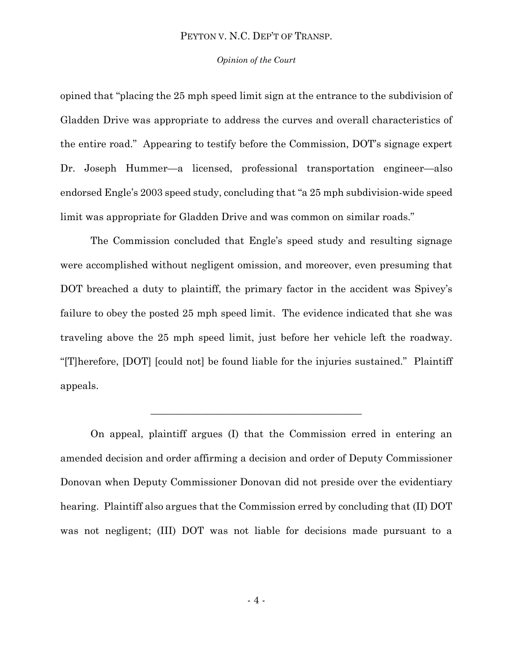#### *Opinion of the Court*

opined that "placing the 25 mph speed limit sign at the entrance to the subdivision of Gladden Drive was appropriate to address the curves and overall characteristics of the entire road." Appearing to testify before the Commission, DOT's signage expert Dr. Joseph Hummer—a licensed, professional transportation engineer—also endorsed Engle's 2003 speed study, concluding that "a 25 mph subdivision-wide speed limit was appropriate for Gladden Drive and was common on similar roads."

The Commission concluded that Engle's speed study and resulting signage were accomplished without negligent omission, and moreover, even presuming that DOT breached a duty to plaintiff, the primary factor in the accident was Spivey's failure to obey the posted 25 mph speed limit. The evidence indicated that she was traveling above the 25 mph speed limit, just before her vehicle left the roadway. "[T]herefore, [DOT] [could not] be found liable for the injuries sustained." Plaintiff appeals.

On appeal, plaintiff argues (I) that the Commission erred in entering an amended decision and order affirming a decision and order of Deputy Commissioner Donovan when Deputy Commissioner Donovan did not preside over the evidentiary hearing. Plaintiff also argues that the Commission erred by concluding that (II) DOT was not negligent; (III) DOT was not liable for decisions made pursuant to a

 $\mathcal{L}_\mathcal{L}$  , where  $\mathcal{L}_\mathcal{L}$  is the set of the set of the set of the set of the set of the set of the set of the set of the set of the set of the set of the set of the set of the set of the set of the set of the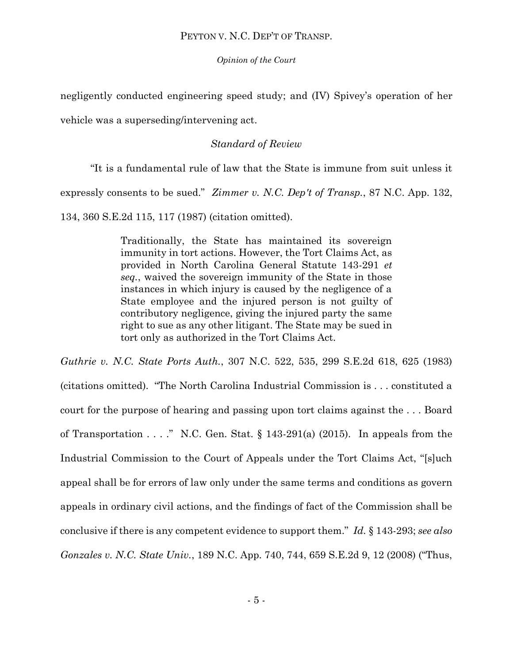*Opinion of the Court*

negligently conducted engineering speed study; and (IV) Spivey's operation of her

vehicle was a superseding/intervening act.

# *Standard of Review*

"It is a fundamental rule of law that the State is immune from suit unless it expressly consents to be sued." *Zimmer v. N.C. Dep't of Transp.*, 87 N.C. App. 132, 134, 360 S.E.2d 115, 117 (1987) (citation omitted).

> Traditionally, the State has maintained its sovereign immunity in tort actions. However, the Tort Claims Act, as provided in North Carolina General Statute 143-291 *et seq.*, waived the sovereign immunity of the State in those instances in which injury is caused by the negligence of a State employee and the injured person is not guilty of contributory negligence, giving the injured party the same right to sue as any other litigant. The State may be sued in tort only as authorized in the Tort Claims Act.

*Guthrie v. N.C. State Ports Auth.*, 307 N.C. 522, 535, 299 S.E.2d 618, 625 (1983) (citations omitted). "The North Carolina Industrial Commission is . . . constituted a court for the purpose of hearing and passing upon tort claims against the . . . Board of Transportation  $\ldots$  ." N.C. Gen. Stat. § 143-291(a) (2015). In appeals from the Industrial Commission to the Court of Appeals under the Tort Claims Act, "[s]uch appeal shall be for errors of law only under the same terms and conditions as govern appeals in ordinary civil actions, and the findings of fact of the Commission shall be conclusive if there is any competent evidence to support them." *Id.* § 143-293; *see also Gonzales v. N.C. State Univ.*, 189 N.C. App. 740, 744, 659 S.E.2d 9, 12 (2008) ("Thus,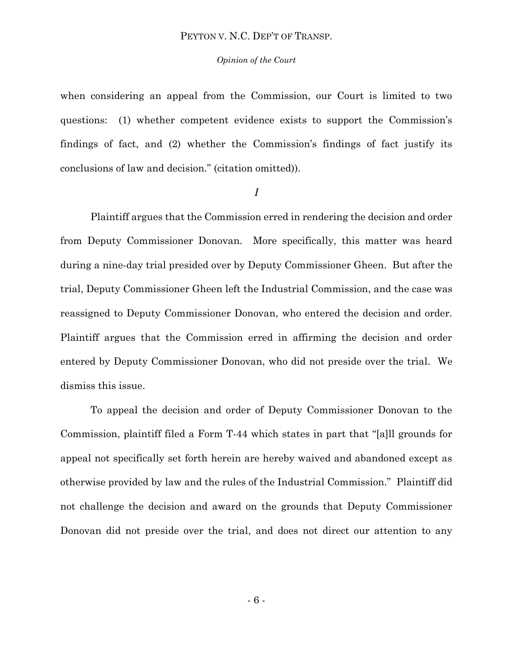#### *Opinion of the Court*

when considering an appeal from the Commission, our Court is limited to two questions: (1) whether competent evidence exists to support the Commission's findings of fact, and (2) whether the Commission's findings of fact justify its conclusions of law and decision." (citation omitted)).

#### *I*

Plaintiff argues that the Commission erred in rendering the decision and order from Deputy Commissioner Donovan. More specifically, this matter was heard during a nine-day trial presided over by Deputy Commissioner Gheen. But after the trial, Deputy Commissioner Gheen left the Industrial Commission, and the case was reassigned to Deputy Commissioner Donovan, who entered the decision and order. Plaintiff argues that the Commission erred in affirming the decision and order entered by Deputy Commissioner Donovan, who did not preside over the trial. We dismiss this issue.

To appeal the decision and order of Deputy Commissioner Donovan to the Commission, plaintiff filed a Form T-44 which states in part that "[a]ll grounds for appeal not specifically set forth herein are hereby waived and abandoned except as otherwise provided by law and the rules of the Industrial Commission." Plaintiff did not challenge the decision and award on the grounds that Deputy Commissioner Donovan did not preside over the trial, and does not direct our attention to any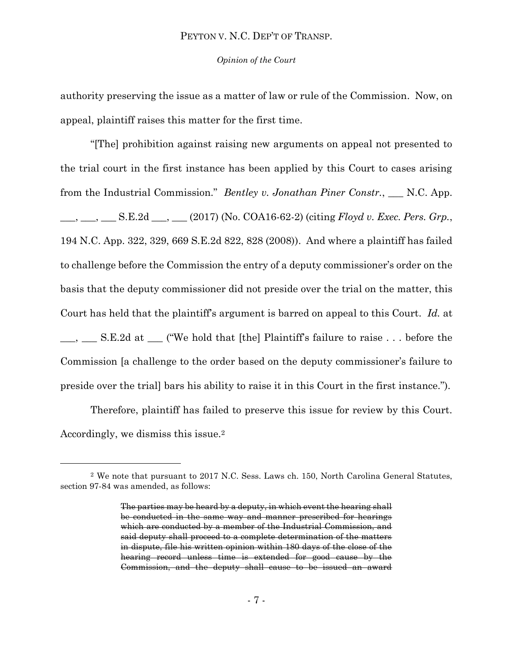#### *Opinion of the Court*

authority preserving the issue as a matter of law or rule of the Commission. Now, on appeal, plaintiff raises this matter for the first time.

"[The] prohibition against raising new arguments on appeal not presented to the trial court in the first instance has been applied by this Court to cases arising from the Industrial Commission." *Bentley v. Jonathan Piner Constr.*, \_\_\_ N.C. App. \_\_\_, \_\_\_, \_\_\_ S.E.2d \_\_\_, \_\_\_ (2017) (No. COA16-62-2) (citing *Floyd v. Exec. Pers. Grp.*, 194 N.C. App. 322, 329, 669 S.E.2d 822, 828 (2008)). And where a plaintiff has failed to challenge before the Commission the entry of a deputy commissioner's order on the basis that the deputy commissioner did not preside over the trial on the matter, this Court has held that the plaintiff's argument is barred on appeal to this Court. *Id.* at \_\_, \_\_\_ S.E.2d at \_\_\_ ("We hold that [the] Plaintiff's failure to raise ... before the Commission [a challenge to the order based on the deputy commissioner's failure to preside over the trial] bars his ability to raise it in this Court in the first instance.").

Therefore, plaintiff has failed to preserve this issue for review by this Court. Accordingly, we dismiss this issue.<sup>2</sup>

l

<sup>2</sup> We note that pursuant to 2017 N.C. Sess. Laws ch. 150, North Carolina General Statutes, section 97-84 was amended, as follows:

The parties may be heard by a deputy, in which event the hearing shall be conducted in the same way and manner prescribed for hearings which are conducted by a member of the Industrial Commission, and said deputy shall proceed to a complete determination of the matters in dispute, file his written opinion within 180 days of the close of the hearing record unless time is extended for good cause by the Commission, and the deputy shall cause to be issued an award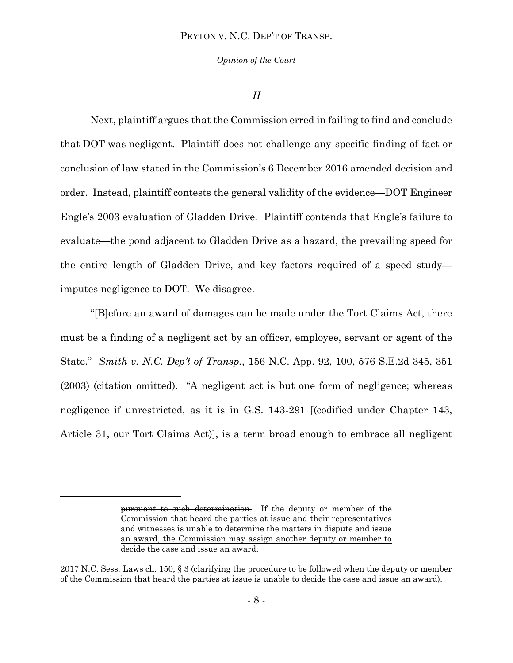*Opinion of the Court*

#### *II*

Next, plaintiff argues that the Commission erred in failing to find and conclude that DOT was negligent. Plaintiff does not challenge any specific finding of fact or conclusion of law stated in the Commission's 6 December 2016 amended decision and order. Instead, plaintiff contests the general validity of the evidence—DOT Engineer Engle's 2003 evaluation of Gladden Drive. Plaintiff contends that Engle's failure to evaluate—the pond adjacent to Gladden Drive as a hazard, the prevailing speed for the entire length of Gladden Drive, and key factors required of a speed study imputes negligence to DOT. We disagree.

"[B]efore an award of damages can be made under the Tort Claims Act, there must be a finding of a negligent act by an officer, employee, servant or agent of the State." *Smith v. N.C. Dep't of Transp.*, 156 N.C. App. 92, 100, 576 S.E.2d 345, 351 (2003) (citation omitted). "A negligent act is but one form of negligence; whereas negligence if unrestricted, as it is in G.S. 143-291 [(codified under Chapter 143, Article 31, our Tort Claims Act)], is a term broad enough to embrace all negligent

 $\overline{a}$ 

pursuant to such determination. If the deputy or member of the Commission that heard the parties at issue and their representatives and witnesses is unable to determine the matters in dispute and issue an award, the Commission may assign another deputy or member to decide the case and issue an award.

<sup>2017</sup> N.C. Sess. Laws ch. 150, § 3 (clarifying the procedure to be followed when the deputy or member of the Commission that heard the parties at issue is unable to decide the case and issue an award).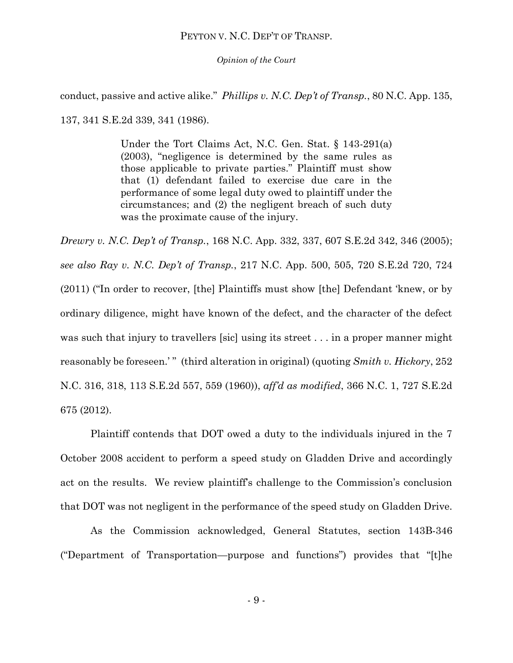*Opinion of the Court*

conduct, passive and active alike." *Phillips v. N.C. Dep't of Transp.*, 80 N.C. App. 135,

137, 341 S.E.2d 339, 341 (1986).

Under the Tort Claims Act, N.C. Gen. Stat. § 143-291(a) (2003), "negligence is determined by the same rules as those applicable to private parties." Plaintiff must show that (1) defendant failed to exercise due care in the performance of some legal duty owed to plaintiff under the circumstances; and (2) the negligent breach of such duty was the proximate cause of the injury.

*Drewry v. N.C. Dep't of Transp.*, 168 N.C. App. 332, 337, 607 S.E.2d 342, 346 (2005); *see also Ray v. N.C. Dep't of Transp.*, 217 N.C. App. 500, 505, 720 S.E.2d 720, 724 (2011) ("In order to recover, [the] Plaintiffs must show [the] Defendant 'knew, or by ordinary diligence, might have known of the defect, and the character of the defect was such that injury to travellers [sic] using its street . . . in a proper manner might reasonably be foreseen.'" (third alteration in original) (quoting *Smith v. Hickory*, 252 N.C. 316, 318, 113 S.E.2d 557, 559 (1960)), *aff'd as modified*, 366 N.C. 1, 727 S.E.2d 675 (2012).

Plaintiff contends that DOT owed a duty to the individuals injured in the 7 October 2008 accident to perform a speed study on Gladden Drive and accordingly act on the results. We review plaintiff's challenge to the Commission's conclusion that DOT was not negligent in the performance of the speed study on Gladden Drive.

As the Commission acknowledged, General Statutes, section 143B-346 ("Department of Transportation—purpose and functions") provides that "[t]he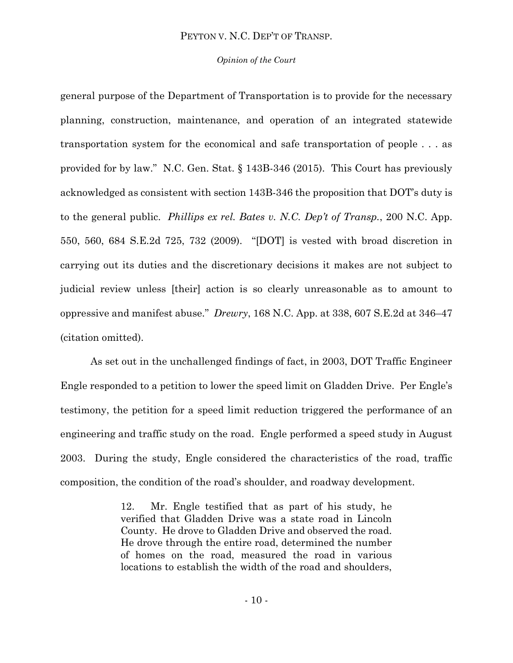#### *Opinion of the Court*

general purpose of the Department of Transportation is to provide for the necessary planning, construction, maintenance, and operation of an integrated statewide transportation system for the economical and safe transportation of people . . . as provided for by law." N.C. Gen. Stat. § 143B-346 (2015). This Court has previously acknowledged as consistent with section 143B-346 the proposition that DOT's duty is to the general public. *Phillips ex rel. Bates v. N.C. Dep't of Transp.*, 200 N.C. App. 550, 560, 684 S.E.2d 725, 732 (2009). "[DOT] is vested with broad discretion in carrying out its duties and the discretionary decisions it makes are not subject to judicial review unless [their] action is so clearly unreasonable as to amount to oppressive and manifest abuse." *Drewry*, 168 N.C. App. at 338, 607 S.E.2d at 346–47 (citation omitted).

As set out in the unchallenged findings of fact, in 2003, DOT Traffic Engineer Engle responded to a petition to lower the speed limit on Gladden Drive. Per Engle's testimony, the petition for a speed limit reduction triggered the performance of an engineering and traffic study on the road. Engle performed a speed study in August 2003. During the study, Engle considered the characteristics of the road, traffic composition, the condition of the road's shoulder, and roadway development.

> 12. Mr. Engle testified that as part of his study, he verified that Gladden Drive was a state road in Lincoln County. He drove to Gladden Drive and observed the road. He drove through the entire road, determined the number of homes on the road, measured the road in various locations to establish the width of the road and shoulders,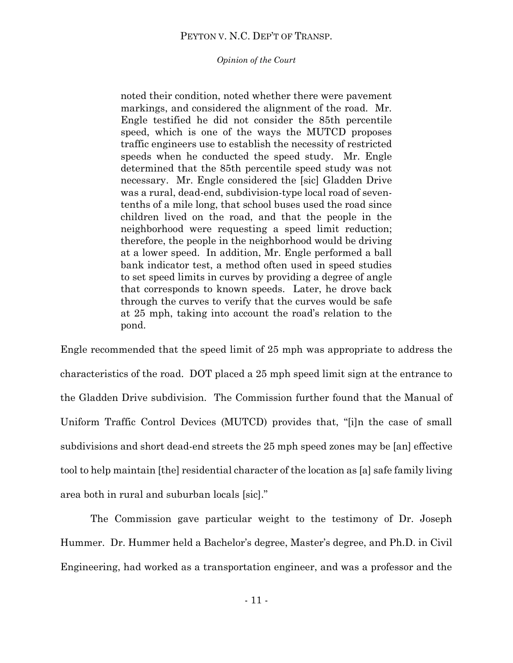*Opinion of the Court*

noted their condition, noted whether there were pavement markings, and considered the alignment of the road. Mr. Engle testified he did not consider the 85th percentile speed, which is one of the ways the MUTCD proposes traffic engineers use to establish the necessity of restricted speeds when he conducted the speed study. Mr. Engle determined that the 85th percentile speed study was not necessary. Mr. Engle considered the [sic] Gladden Drive was a rural, dead-end, subdivision-type local road of seventenths of a mile long, that school buses used the road since children lived on the road, and that the people in the neighborhood were requesting a speed limit reduction; therefore, the people in the neighborhood would be driving at a lower speed. In addition, Mr. Engle performed a ball bank indicator test, a method often used in speed studies to set speed limits in curves by providing a degree of angle that corresponds to known speeds. Later, he drove back through the curves to verify that the curves would be safe at 25 mph, taking into account the road's relation to the pond.

Engle recommended that the speed limit of 25 mph was appropriate to address the characteristics of the road. DOT placed a 25 mph speed limit sign at the entrance to the Gladden Drive subdivision. The Commission further found that the Manual of Uniform Traffic Control Devices (MUTCD) provides that, "[i]n the case of small subdivisions and short dead-end streets the 25 mph speed zones may be [an] effective tool to help maintain [the] residential character of the location as [a] safe family living area both in rural and suburban locals [sic]."

The Commission gave particular weight to the testimony of Dr. Joseph Hummer. Dr. Hummer held a Bachelor's degree, Master's degree, and Ph.D. in Civil Engineering, had worked as a transportation engineer, and was a professor and the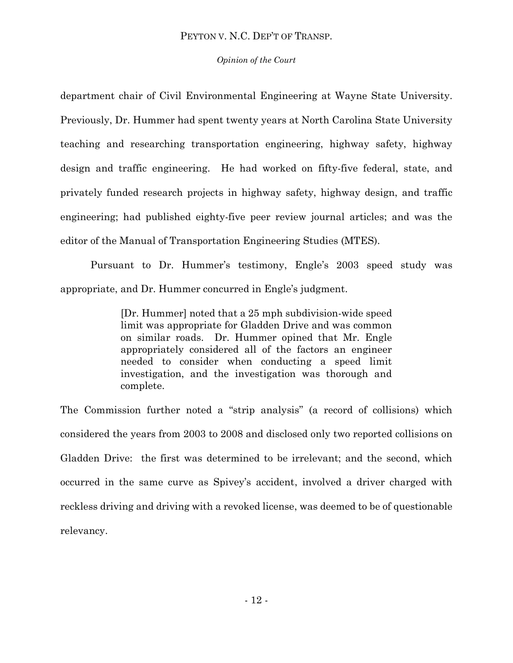## *Opinion of the Court*

department chair of Civil Environmental Engineering at Wayne State University. Previously, Dr. Hummer had spent twenty years at North Carolina State University teaching and researching transportation engineering, highway safety, highway design and traffic engineering. He had worked on fifty-five federal, state, and privately funded research projects in highway safety, highway design, and traffic engineering; had published eighty-five peer review journal articles; and was the editor of the Manual of Transportation Engineering Studies (MTES).

Pursuant to Dr. Hummer's testimony, Engle's 2003 speed study was appropriate, and Dr. Hummer concurred in Engle's judgment.

> [Dr. Hummer] noted that a 25 mph subdivision-wide speed limit was appropriate for Gladden Drive and was common on similar roads. Dr. Hummer opined that Mr. Engle appropriately considered all of the factors an engineer needed to consider when conducting a speed limit investigation, and the investigation was thorough and complete.

The Commission further noted a "strip analysis" (a record of collisions) which considered the years from 2003 to 2008 and disclosed only two reported collisions on Gladden Drive: the first was determined to be irrelevant; and the second, which occurred in the same curve as Spivey's accident, involved a driver charged with reckless driving and driving with a revoked license, was deemed to be of questionable relevancy.